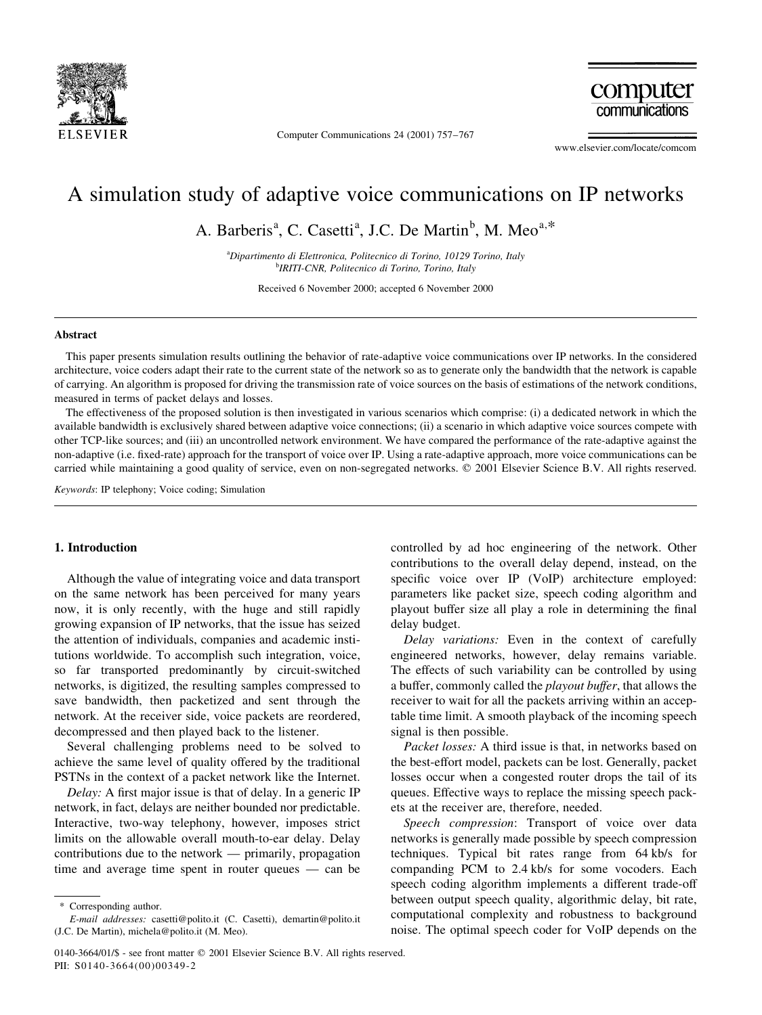

Computer Communications 24 (2001) 757-767

computer communications

www.elsevier.com/locate/comcom

# A simulation study of adaptive voice communications on IP networks

A. Barberis<sup>a</sup>, C. Casetti<sup>a</sup>, J.C. De Martin<sup>b</sup>, M. Meo<sup>a,\*</sup>

<sup>a</sup>Dipartimento di Elettronica, Politecnico di Torino, 10129 Torino, Italy <sup>b</sup>IRITI-CNR, Politecnico di Torino, Torino, Italy

Received 6 November 2000; accepted 6 November 2000

#### **Abstract**

This paper presents simulation results outlining the behavior of rate-adaptive voice communications over IP networks. In the considered architecture, voice coders adapt their rate to the current state of the network so as to generate only the bandwidth that the network is capable of carrying. An algorithm is proposed for driving the transmission rate of voice sources on the basis of estimations of the network conditions, measured in terms of packet delays and losses.

The effectiveness of the proposed solution is then investigated in various scenarios which comprise: (i) a dedicated network in which the available bandwidth is exclusively shared between adaptive voice connections; (ii) a scenario in which adaptive voice sources compete with other TCP-like sources; and (iii) an uncontrolled network environment. We have compared the performance of the rate-adaptive against the non-adaptive (i.e. fixed-rate) approach for the transport of voice over IP. Using a rate-adaptive approach, more voice communications can be carried while maintaining a good quality of service, even on non-segregated networks. © 2001 Elsevier Science B.V. All rights reserved.

Keywords: IP telephony; Voice coding; Simulation

## 1. Introduction

Although the value of integrating voice and data transport on the same network has been perceived for many years now, it is only recently, with the huge and still rapidly growing expansion of IP networks, that the issue has seized the attention of individuals, companies and academic institutions worldwide. To accomplish such integration, voice, so far transported predominantly by circuit-switched networks, is digitized, the resulting samples compressed to save bandwidth, then packetized and sent through the network. At the receiver side, voice packets are reordered, decompressed and then played back to the listener.

Several challenging problems need to be solved to achieve the same level of quality offered by the traditional PSTNs in the context of a packet network like the Internet.

Delay: A first major issue is that of delay. In a generic IP network, in fact, delays are neither bounded nor predictable. Interactive, two-way telephony, however, imposes strict limits on the allowable overall mouth-to-ear delay. Delay contributions due to the network — primarily, propagation time and average time spent in router queues  $-$  can be

controlled by ad hoc engineering of the network. Other contributions to the overall delay depend, instead, on the specific voice over IP (VoIP) architecture employed: parameters like packet size, speech coding algorithm and playout buffer size all play a role in determining the final delay budget.

Delay variations: Even in the context of carefully engineered networks, however, delay remains variable. The effects of such variability can be controlled by using a buffer, commonly called the *playout buffer*, that allows the receiver to wait for all the packets arriving within an acceptable time limit. A smooth playback of the incoming speech signal is then possible.

Packet losses: A third issue is that, in networks based on the best-effort model, packets can be lost. Generally, packet losses occur when a congested router drops the tail of its queues. Effective ways to replace the missing speech packets at the receiver are, therefore, needed.

Speech compression: Transport of voice over data networks is generally made possible by speech compression techniques. Typical bit rates range from 64 kb/s for companding PCM to 2.4 kb/s for some vocoders. Each speech coding algorithm implements a different trade-off between output speech quality, algorithmic delay, bit rate, computational complexity and robustness to background noise. The optimal speech coder for VoIP depends on the

Corresponding author.

E-mail addresses: casetti@polito.it (C. Casetti), demartin@polito.it (J.C. De Martin), michela@polito.it (M. Meo).

<sup>0140-3664/01/\$ -</sup> see front matter  $\odot$  2001 Elsevier Science B.V. All rights reserved. PII: S0140-3664(00)00349-2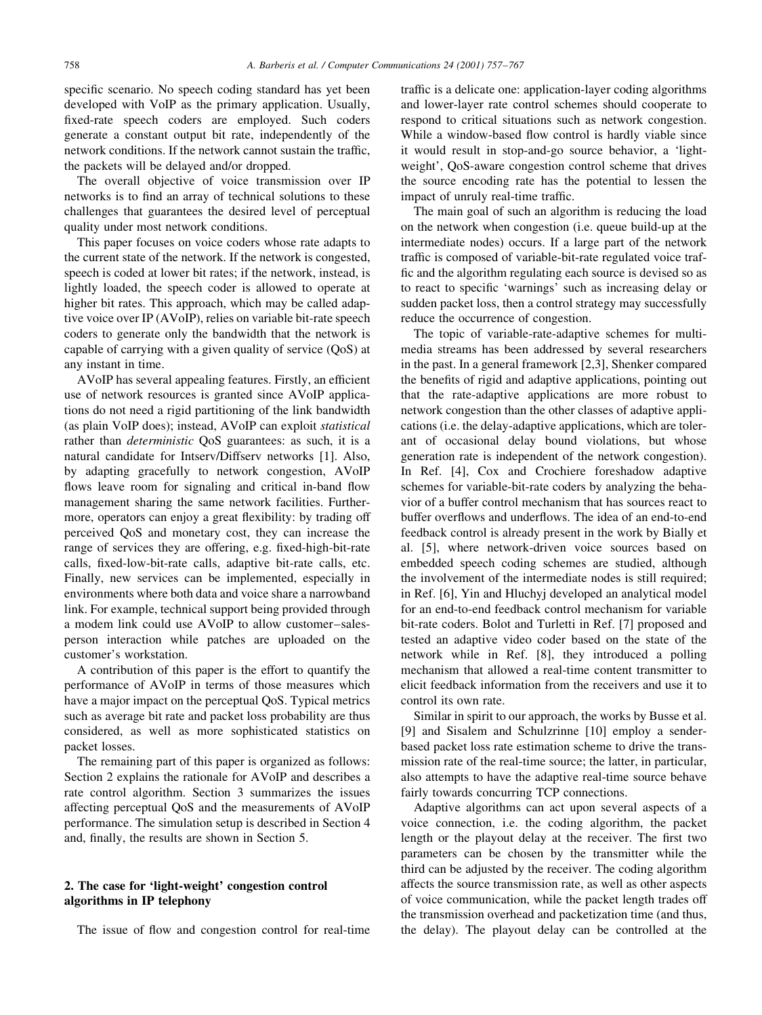specific scenario. No speech coding standard has yet been developed with VoIP as the primary application. Usually, fixed-rate speech coders are employed. Such coders generate a constant output bit rate, independently of the network conditions. If the network cannot sustain the traffic, the packets will be delayed and/or dropped.

The overall objective of voice transmission over IP networks is to find an array of technical solutions to these challenges that guarantees the desired level of perceptual quality under most network conditions.

This paper focuses on voice coders whose rate adapts to the current state of the network. If the network is congested, speech is coded at lower bit rates; if the network, instead, is lightly loaded, the speech coder is allowed to operate at higher bit rates. This approach, which may be called adaptive voice over IP (AVoIP), relies on variable bit-rate speech coders to generate only the bandwidth that the network is capable of carrying with a given quality of service (QoS) at any instant in time.

AVoIP has several appealing features. Firstly, an efficient use of network resources is granted since AVoIP applications do not need a rigid partitioning of the link bandwidth (as plain VoIP does); instead, AVoIP can exploit *statistical* rather than *deterministic* QoS guarantees: as such, it is a natural candidate for Intserv/Diffserv networks [1]. Also, by adapting gracefully to network congestion, AVoIP flows leave room for signaling and critical in-band flow management sharing the same network facilities. Furthermore, operators can enjoy a great flexibility: by trading off perceived QoS and monetary cost, they can increase the range of services they are offering, e.g. fixed-high-bit-rate calls, fixed-low-bit-rate calls, adaptive bit-rate calls, etc. Finally, new services can be implemented, especially in environments where both data and voice share a narrowband link. For example, technical support being provided through a modem link could use AVoIP to allow customer-salesperson interaction while patches are uploaded on the customer's workstation.

A contribution of this paper is the effort to quantify the performance of AVoIP in terms of those measures which have a major impact on the perceptual QoS. Typical metrics such as average bit rate and packet loss probability are thus considered, as well as more sophisticated statistics on packet losses.

The remaining part of this paper is organized as follows: Section 2 explains the rationale for AVoIP and describes a rate control algorithm. Section 3 summarizes the issues affecting perceptual OoS and the measurements of AVoIP performance. The simulation setup is described in Section 4 and, finally, the results are shown in Section 5.

# 2. The case for 'light-weight' congestion control algorithms in IP telephony

The issue of flow and congestion control for real-time

traffic is a delicate one: application-layer coding algorithms and lower-layer rate control schemes should cooperate to respond to critical situations such as network congestion. While a window-based flow control is hardly viable since it would result in stop-and-go source behavior, a 'lightweight', QoS-aware congestion control scheme that drives the source encoding rate has the potential to lessen the impact of unruly real-time traffic.

The main goal of such an algorithm is reducing the load on the network when congestion (i.e. queue build-up at the intermediate nodes) occurs. If a large part of the network traffic is composed of variable-bit-rate regulated voice traffic and the algorithm regulating each source is devised so as to react to specific 'warnings' such as increasing delay or sudden packet loss, then a control strategy may successfully reduce the occurrence of congestion.

The topic of variable-rate-adaptive schemes for multimedia streams has been addressed by several researchers in the past. In a general framework  $[2,3]$ , Shenker compared the benefits of rigid and adaptive applications, pointing out that the rate-adaptive applications are more robust to network congestion than the other classes of adaptive applications (i.e. the delay-adaptive applications, which are tolerant of occasional delay bound violations, but whose generation rate is independent of the network congestion). In Ref. [4], Cox and Crochiere foreshadow adaptive schemes for variable-bit-rate coders by analyzing the behavior of a buffer control mechanism that has sources react to buffer overflows and underflows. The idea of an end-to-end feedback control is already present in the work by Bially et al. [5], where network-driven voice sources based on embedded speech coding schemes are studied, although the involvement of the intermediate nodes is still required; in Ref. [6], Yin and Hluchyj developed an analytical model for an end-to-end feedback control mechanism for variable bit-rate coders. Bolot and Turletti in Ref. [7] proposed and tested an adaptive video coder based on the state of the network while in Ref. [8], they introduced a polling mechanism that allowed a real-time content transmitter to elicit feedback information from the receivers and use it to control its own rate.

Similar in spirit to our approach, the works by Busse et al. [9] and Sisalem and Schulzrinne [10] employ a senderbased packet loss rate estimation scheme to drive the transmission rate of the real-time source; the latter, in particular, also attempts to have the adaptive real-time source behave fairly towards concurring TCP connections.

Adaptive algorithms can act upon several aspects of a voice connection, i.e. the coding algorithm, the packet length or the playout delay at the receiver. The first two parameters can be chosen by the transmitter while the third can be adjusted by the receiver. The coding algorithm affects the source transmission rate, as well as other aspects of voice communication, while the packet length trades off the transmission overhead and packetization time (and thus, the delay). The playout delay can be controlled at the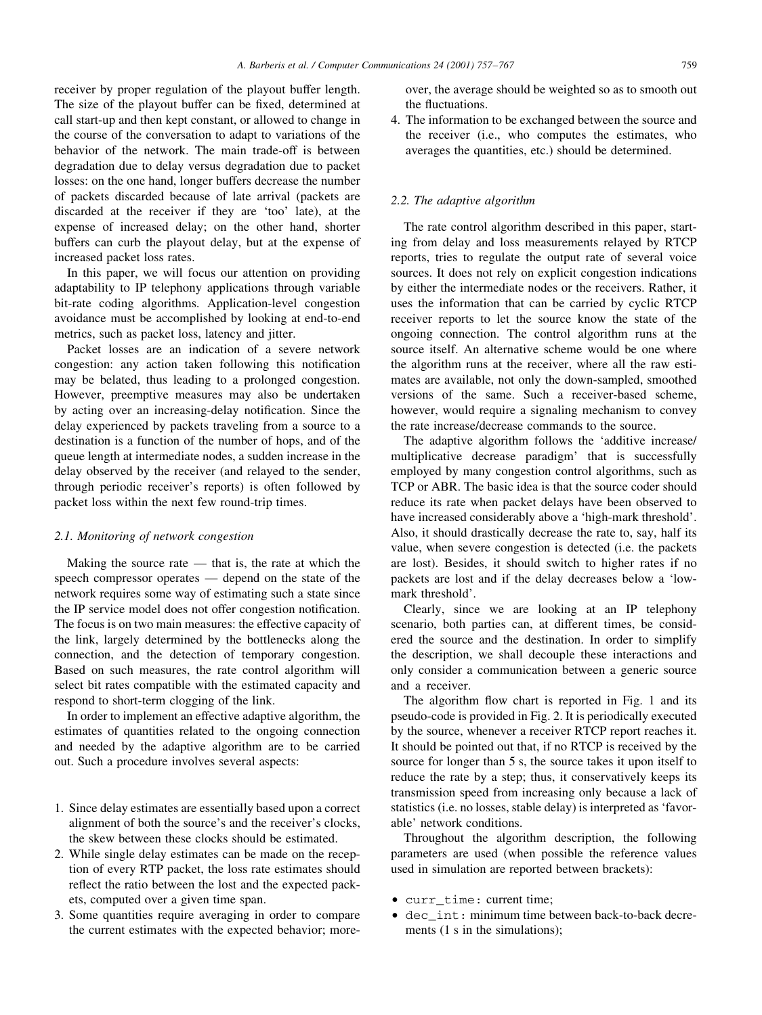receiver by proper regulation of the playout buffer length. The size of the playout buffer can be fixed, determined at call start-up and then kept constant, or allowed to change in the course of the conversation to adapt to variations of the behavior of the network. The main trade-off is between degradation due to delay versus degradation due to packet losses: on the one hand, longer buffers decrease the number of packets discarded because of late arrival (packets are discarded at the receiver if they are 'too' late), at the expense of increased delay; on the other hand, shorter buffers can curb the playout delay, but at the expense of increased packet loss rates.

In this paper, we will focus our attention on providing adaptability to IP telephony applications through variable bit-rate coding algorithms. Application-level congestion avoidance must be accomplished by looking at end-to-end metrics, such as packet loss, latency and jitter.

Packet losses are an indication of a severe network congestion: any action taken following this notification may be belated, thus leading to a prolonged congestion. However, preemptive measures may also be undertaken by acting over an increasing-delay notification. Since the delay experienced by packets traveling from a source to a destination is a function of the number of hops, and of the queue length at intermediate nodes, a sudden increase in the delay observed by the receiver (and relayed to the sender, through periodic receiver's reports) is often followed by packet loss within the next few round-trip times.

#### 2.1. Monitoring of network congestion

Making the source rate  $-$  that is, the rate at which the speech compressor operates — depend on the state of the network requires some way of estimating such a state since the IP service model does not offer congestion notification. The focus is on two main measures: the effective capacity of the link, largely determined by the bottlenecks along the connection, and the detection of temporary congestion. Based on such measures, the rate control algorithm will select bit rates compatible with the estimated capacity and respond to short-term clogging of the link.

In order to implement an effective adaptive algorithm, the estimates of quantities related to the ongoing connection and needed by the adaptive algorithm are to be carried out. Such a procedure involves several aspects:

- 1. Since delay estimates are essentially based upon a correct alignment of both the source's and the receiver's clocks. the skew between these clocks should be estimated.
- 2. While single delay estimates can be made on the reception of every RTP packet, the loss rate estimates should reflect the ratio between the lost and the expected packets, computed over a given time span.
- 3. Some quantities require averaging in order to compare the current estimates with the expected behavior; more-

over, the average should be weighted so as to smooth out the fluctuations.

4. The information to be exchanged between the source and the receiver (*i.e.*, who computes the estimates, who averages the quantities, etc.) should be determined.

# 2.2. The adaptive algorithm

The rate control algorithm described in this paper, starting from delay and loss measurements relayed by RTCP reports, tries to regulate the output rate of several voice sources. It does not rely on explicit congestion indications by either the intermediate nodes or the receivers. Rather, it uses the information that can be carried by cyclic RTCP receiver reports to let the source know the state of the ongoing connection. The control algorithm runs at the source itself. An alternative scheme would be one where the algorithm runs at the receiver, where all the raw estimates are available, not only the down-sampled, smoothed versions of the same. Such a receiver-based scheme, however, would require a signaling mechanism to convey the rate increase/decrease commands to the source.

The adaptive algorithm follows the 'additive increase/ multiplicative decrease paradigm' that is successfully employed by many congestion control algorithms, such as TCP or ABR. The basic idea is that the source coder should reduce its rate when packet delays have been observed to have increased considerably above a 'high-mark threshold'. Also, it should drastically decrease the rate to, say, half its value, when severe congestion is detected (i.e. the packets are lost). Besides, it should switch to higher rates if no packets are lost and if the delay decreases below a 'lowmark threshold'.

Clearly, since we are looking at an IP telephony scenario, both parties can, at different times, be considered the source and the destination. In order to simplify the description, we shall decouple these interactions and only consider a communication between a generic source and a receiver.

The algorithm flow chart is reported in Fig. 1 and its pseudo-code is provided in Fig. 2. It is periodically executed by the source, whenever a receiver RTCP report reaches it. It should be pointed out that, if no RTCP is received by the source for longer than 5 s, the source takes it upon itself to reduce the rate by a step; thus, it conservatively keeps its transmission speed from increasing only because a lack of statistics (*i.e. no losses, stable delay*) is interpreted as 'favorable' network conditions.

Throughout the algorithm description, the following parameters are used (when possible the reference values used in simulation are reported between brackets):

- curr time: current time;
- · dec\_int: minimum time between back-to-back decrements (1 s in the simulations);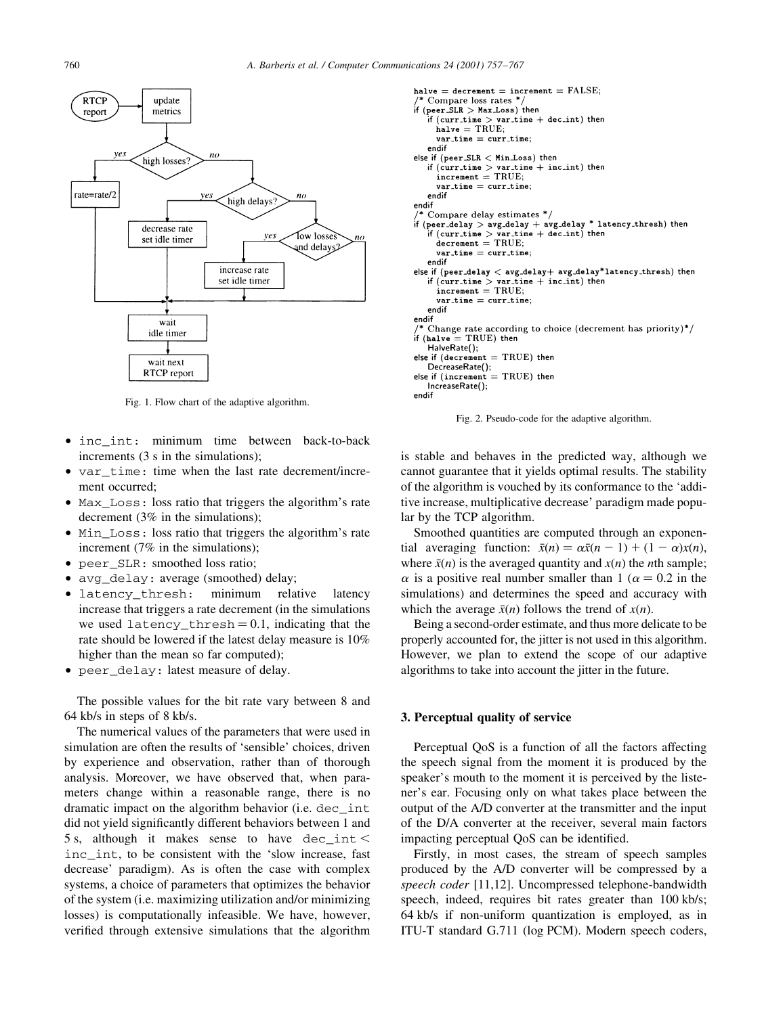

Fig. 1. Flow chart of the adaptive algorithm.

- $\bullet$  inc int: minimum time between back-to-back increments (3 s in the simulations);
- var time: time when the last rate decrement/increment occurred:
- Max\_Loss: loss ratio that triggers the algorithm's rate decrement  $(3\%$  in the simulations);
- Min\_Loss: loss ratio that triggers the algorithm's rate increment  $(7\%$  in the simulations);
- peer SLR: smoothed loss ratio;
- avg\_delay: average (smoothed) delay;
- · latency thresh: minimum relative latency increase that triggers a rate decrement (in the simulations we used  $latercy_{thresh} = 0.1$ , indicating that the rate should be lowered if the latest delay measure is 10% higher than the mean so far computed);
- peer delay: latest measure of delay.

The possible values for the bit rate vary between 8 and  $64$  kb/s in steps of 8 kb/s.

The numerical values of the parameters that were used in simulation are often the results of 'sensible' choices, driven by experience and observation, rather than of thorough analysis. Moreover, we have observed that, when parameters change within a reasonable range, there is no dramatic impact on the algorithm behavior (i.e. dec int did not yield significantly different behaviors between 1 and 5 s. although it makes sense to have dec int  $\lt$ inc int, to be consistent with the 'slow increase, fast decrease' paradigm). As is often the case with complex systems, a choice of parameters that optimizes the behavior of the system (i.e. maximizing utilization and/or minimizing losses) is computationally infeasible. We have, however, verified through extensive simulations that the algorithm

```
halve = decrement = increment = FALSE;Compare loss rates *
if (peer\_SLR > Max\_Loss) then
   if (\text{curr time} > \text{var time} + \text{dec int}) then
     halve = TRUE;var_time = curr_timeendif
else if (peer_SLR < Min_Loss) then
  if (curr_time > var_time + inc.int) then
     increment = TRUE:
     var time = curr time:
   endif
endif
  Compare delay estimates */
if (peer\_delay > avg\_delay + avg\_delay * latency\_thresh) then
   if (curr_time > var_time + dec.int) then
     decrement = TRUE;var_time = curr_time;endif
else if (peer_delay < avg_delay+ avg_delay*latency_thresh) then
  if (curr_time > var_time + inc.int) then
     increment = TRUE;
     var_time = curr_time;endif
endif
  Change rate according to choice (decrement has priority)*/if (halve = TRUE) then
  HalveRate();
else if (decrement = TRUE) then
  DecreaseRate();
else if (increment = TRUE) then
  IncreaseRate();
endif
```


is stable and behaves in the predicted way, although we cannot guarantee that it yields optimal results. The stability of the algorithm is vouched by its conformance to the 'additive increase, multiplicative decrease' paradigm made popular by the TCP algorithm.

Smoothed quantities are computed through an exponential averaging function:  $\bar{x}(n) = \alpha \bar{x}(n-1) + (1-\alpha)x(n)$ , where  $\bar{x}(n)$  is the averaged quantity and  $x(n)$  the *n*th sample;  $\alpha$  is a positive real number smaller than 1 ( $\alpha = 0.2$  in the simulations) and determines the speed and accuracy with which the average  $\bar{x}(n)$  follows the trend of  $x(n)$ .

Being a second-order estimate, and thus more delicate to be properly accounted for, the jitter is not used in this algorithm. However, we plan to extend the scope of our adaptive algorithms to take into account the jitter in the future.

### 3. Perceptual quality of service

Perceptual QoS is a function of all the factors affecting the speech signal from the moment it is produced by the speaker's mouth to the moment it is perceived by the listener's ear. Focusing only on what takes place between the output of the A/D converter at the transmitter and the input of the D/A converter at the receiver, several main factors impacting perceptual OoS can be identified.

Firstly, in most cases, the stream of speech samples produced by the A/D converter will be compressed by a speech coder [11,12]. Uncompressed telephone-bandwidth speech, indeed, requires bit rates greater than 100 kb/s; 64 kb/s if non-uniform quantization is employed, as in ITU-T standard G.711 (log PCM). Modern speech coders,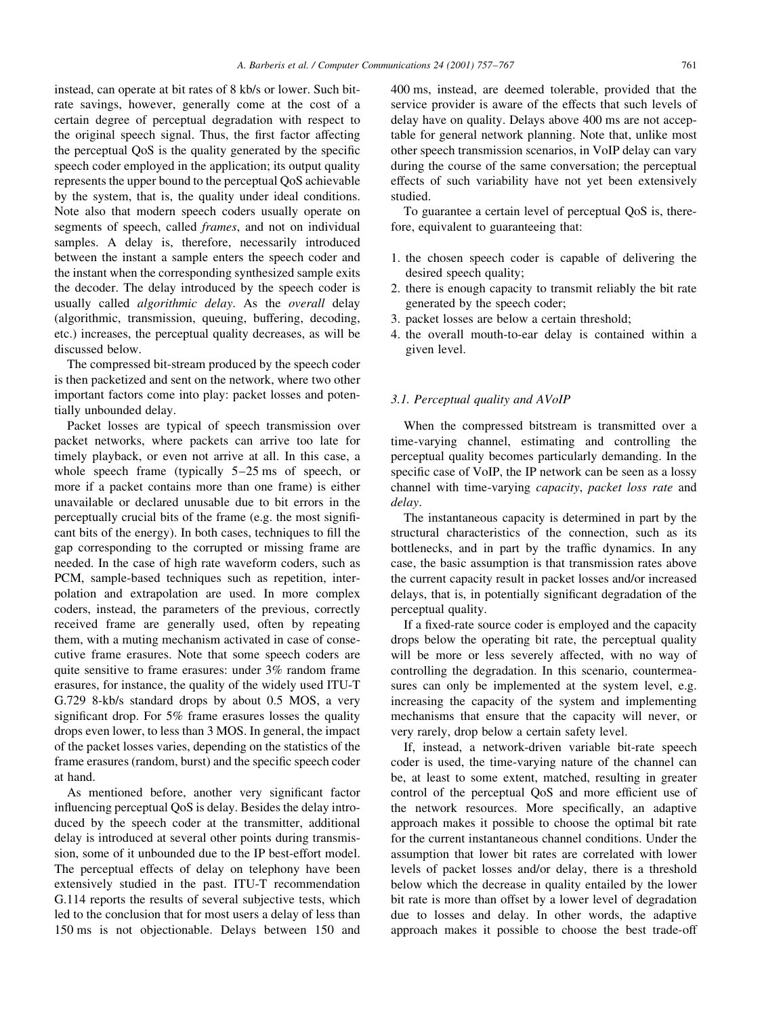instead, can operate at bit rates of 8 kb/s or lower. Such bitrate savings, however, generally come at the cost of a certain degree of perceptual degradation with respect to the original speech signal. Thus, the first factor affecting the perceptual QoS is the quality generated by the specific speech coder employed in the application; its output quality represents the upper bound to the perceptual QoS achievable by the system, that is, the quality under ideal conditions. Note also that modern speech coders usually operate on segments of speech, called *frames*, and not on individual samples. A delay is, therefore, necessarily introduced between the instant a sample enters the speech coder and the instant when the corresponding synthesized sample exits the decoder. The delay introduced by the speech coder is usually called *algorithmic delay*. As the *overall* delay (algorithmic, transmission, queuing, buffering, decoding, etc.) increases, the perceptual quality decreases, as will be discussed below.

The compressed bit-stream produced by the speech coder is then packetized and sent on the network, where two other important factors come into play: packet losses and potentially unbounded delay.

Packet losses are typical of speech transmission over packet networks, where packets can arrive too late for timely playback, or even not arrive at all. In this case, a whole speech frame (typically  $5-25$  ms of speech, or more if a packet contains more than one frame) is either unavailable or declared unusable due to bit errors in the perceptually crucial bits of the frame (e.g. the most significant bits of the energy). In both cases, techniques to fill the gap corresponding to the corrupted or missing frame are needed. In the case of high rate waveform coders, such as PCM, sample-based techniques such as repetition, interpolation and extrapolation are used. In more complex coders, instead, the parameters of the previous, correctly received frame are generally used, often by repeating them, with a muting mechanism activated in case of consecutive frame erasures. Note that some speech coders are quite sensitive to frame erasures: under 3% random frame erasures, for instance, the quality of the widely used ITU-T G.729 8-kb/s standard drops by about 0.5 MOS, a very significant drop. For 5% frame erasures losses the quality drops even lower, to less than 3 MOS. In general, the impact of the packet losses varies, depending on the statistics of the frame erasures (random, burst) and the specific speech coder at hand.

As mentioned before, another very significant factor influencing perceptual OoS is delay. Besides the delay introduced by the speech coder at the transmitter, additional delay is introduced at several other points during transmission, some of it unbounded due to the IP best-effort model. The perceptual effects of delay on telephony have been extensively studied in the past. ITU-T recommendation G.114 reports the results of several subjective tests, which led to the conclusion that for most users a delay of less than 150 ms is not objectionable. Delays between 150 and 400 ms, instead, are deemed tolerable, provided that the service provider is aware of the effects that such levels of delay have on quality. Delays above 400 ms are not acceptable for general network planning. Note that, unlike most other speech transmission scenarios, in VoIP delay can vary during the course of the same conversation; the perceptual effects of such variability have not yet been extensively studied.

To guarantee a certain level of perceptual OoS is, therefore, equivalent to guaranteeing that:

- 1. the chosen speech coder is capable of delivering the desired speech quality;
- 2. there is enough capacity to transmit reliably the bit rate generated by the speech coder;
- 3. packet losses are below a certain threshold;
- 4. the overall mouth-to-ear delay is contained within a given level.

# 3.1. Perceptual quality and AVoIP

When the compressed bitstream is transmitted over a time-varying channel, estimating and controlling the perceptual quality becomes particularly demanding. In the specific case of VoIP, the IP network can be seen as a lossy channel with time-varying *capacity*, *packet loss rate* and delay.

The instantaneous capacity is determined in part by the structural characteristics of the connection, such as its bottlenecks, and in part by the traffic dynamics. In any case, the basic assumption is that transmission rates above the current capacity result in packet losses and/or increased delays, that is, in potentially significant degradation of the perceptual quality.

If a fixed-rate source coder is employed and the capacity drops below the operating bit rate, the perceptual quality will be more or less severely affected, with no way of controlling the degradation. In this scenario, countermeasures can only be implemented at the system level, e.g. increasing the capacity of the system and implementing mechanisms that ensure that the capacity will never, or very rarely, drop below a certain safety level.

If, instead, a network-driven variable bit-rate speech coder is used, the time-varying nature of the channel can be, at least to some extent, matched, resulting in greater control of the perceptual QoS and more efficient use of the network resources. More specifically, an adaptive approach makes it possible to choose the optimal bit rate for the current instantaneous channel conditions. Under the assumption that lower bit rates are correlated with lower levels of packet losses and/or delay, there is a threshold below which the decrease in quality entailed by the lower bit rate is more than offset by a lower level of degradation due to losses and delay. In other words, the adaptive approach makes it possible to choose the best trade-off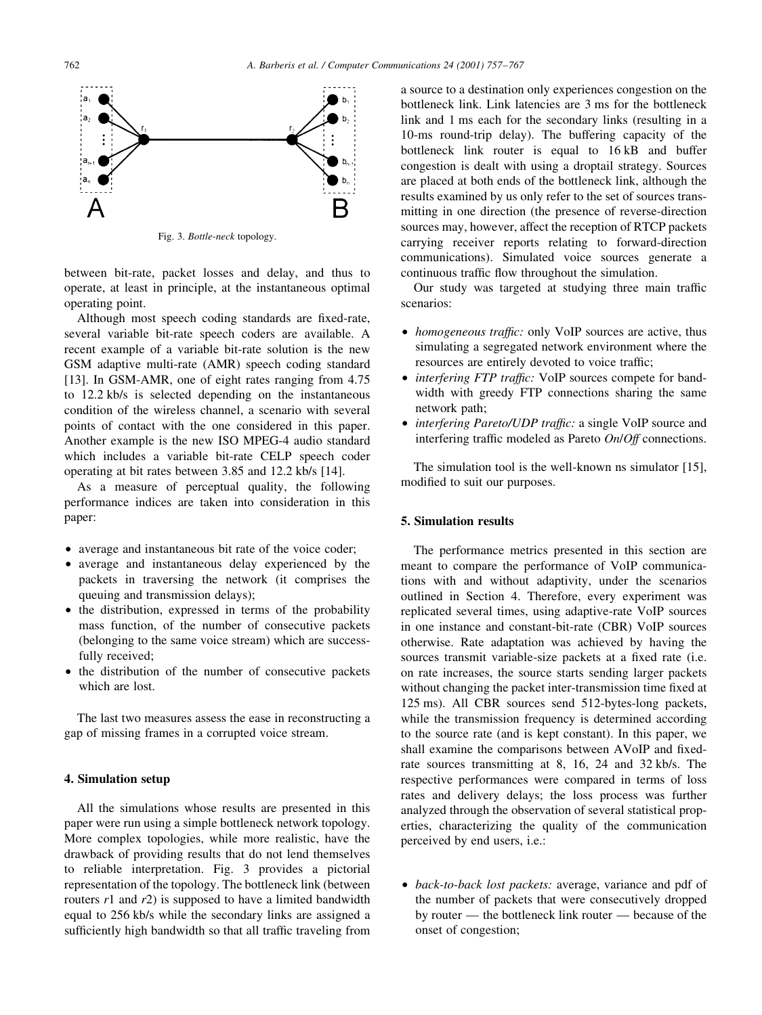

Fig. 3. Bottle-neck topology.

between bit-rate, packet losses and delay, and thus to operate, at least in principle, at the instantaneous optimal operating point.

Although most speech coding standards are fixed-rate, several variable bit-rate speech coders are available. A recent example of a variable bit-rate solution is the new GSM adaptive multi-rate (AMR) speech coding standard [13]. In GSM-AMR, one of eight rates ranging from 4.75 to 12.2 kb/s is selected depending on the instantaneous condition of the wireless channel, a scenario with several points of contact with the one considered in this paper. Another example is the new ISO MPEG-4 audio standard which includes a variable bit-rate CELP speech coder operating at bit rates between 3.85 and 12.2 kb/s [14].

As a measure of perceptual quality, the following performance indices are taken into consideration in this paper:

- average and instantaneous bit rate of the voice coder;
- average and instantaneous delay experienced by the packets in traversing the network (it comprises the queuing and transmission delays);
- the distribution, expressed in terms of the probability mass function, of the number of consecutive packets (belonging to the same voice stream) which are successfully received;
- the distribution of the number of consecutive packets which are lost.

The last two measures assess the ease in reconstructing a gap of missing frames in a corrupted voice stream.

# 4. Simulation setup

All the simulations whose results are presented in this paper were run using a simple bottleneck network topology. More complex topologies, while more realistic, have the drawback of providing results that do not lend themselves to reliable interpretation. Fig. 3 provides a pictorial representation of the topology. The bottleneck link (between routers  $r1$  and  $r2$ ) is supposed to have a limited bandwidth equal to 256 kb/s while the secondary links are assigned a sufficiently high bandwidth so that all traffic traveling from

a source to a destination only experiences congestion on the bottleneck link. Link latencies are 3 ms for the bottleneck link and 1 ms each for the secondary links (resulting in a 10-ms round-trip delay). The buffering capacity of the bottleneck link router is equal to 16 kB and buffer congestion is dealt with using a droptail strategy. Sources are placed at both ends of the bottleneck link, although the results examined by us only refer to the set of sources transmitting in one direction (the presence of reverse-direction sources may, however, affect the reception of RTCP packets carrying receiver reports relating to forward-direction communications). Simulated voice sources generate a continuous traffic flow throughout the simulation.

Our study was targeted at studying three main traffic scenarios:

- homogeneous traffic: only VoIP sources are active, thus simulating a segregated network environment where the resources are entirely devoted to voice traffic;
- interfering FTP traffic: VoIP sources compete for bandwidth with greedy FTP connections sharing the same network path;
- interfering Pareto/UDP traffic: a single VoIP source and interfering traffic modeled as Pareto On/Off connections.

The simulation tool is the well-known ns simulator  $[15]$ , modified to suit our purposes.

# 5. Simulation results

The performance metrics presented in this section are meant to compare the performance of VoIP communications with and without adaptivity, under the scenarios outlined in Section 4. Therefore, every experiment was replicated several times, using adaptive-rate VoIP sources in one instance and constant-bit-rate (CBR) VoIP sources otherwise. Rate adaptation was achieved by having the sources transmit variable-size packets at a fixed rate (i.e. on rate increases, the source starts sending larger packets without changing the packet inter-transmission time fixed at 125 ms). All CBR sources send 512-bytes-long packets, while the transmission frequency is determined according to the source rate (and is kept constant). In this paper, we shall examine the comparisons between AVoIP and fixedrate sources transmitting at 8, 16, 24 and 32 kb/s. The respective performances were compared in terms of loss rates and delivery delays; the loss process was further analyzed through the observation of several statistical properties, characterizing the quality of the communication perceived by end users, i.e.:

• back-to-back lost packets: average, variance and pdf of the number of packets that were consecutively dropped by router — the bottleneck link router — because of the onset of congestion;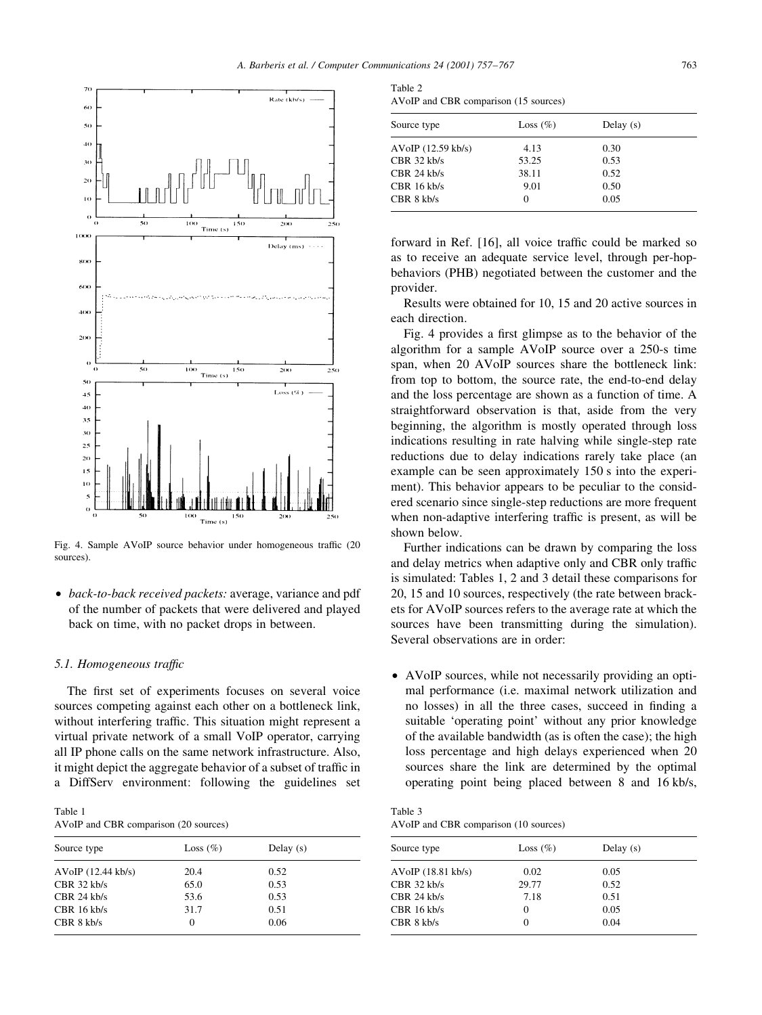

Fig. 4. Sample AVoIP source behavior under homogeneous traffic (20) sources).

• back-to-back received packets: average, variance and pdf of the number of packets that were delivered and played back on time, with no packet drops in between.

## 5.1. Homogeneous traffic

The first set of experiments focuses on several voice sources competing against each other on a bottleneck link, without interfering traffic. This situation might represent a virtual private network of a small VoIP operator, carrying all IP phone calls on the same network infrastructure. Also, it might depict the aggregate behavior of a subset of traffic in a DiffServ environment: following the guidelines set

| Table 1                               |  |
|---------------------------------------|--|
| AVoIP and CBR comparison (20 sources) |  |

| Source type          | Loss $(\% )$ | Delay $(s)$ |  |
|----------------------|--------------|-------------|--|
| $AVoIP$ (12.44 kb/s) | 20.4         | 0.52        |  |
| $CBR$ 32 kb/s        | 65.0         | 0.53        |  |
| $CRR$ 24 kb/s        | 53.6         | 0.53        |  |
| $CBR$ 16 kb/s        | 31.7         | 0.51        |  |
| CBR 8 k b/s          | 0            | 0.06        |  |

Table 2 AVoIP and CBR comparison (15 sources)

| Source type        | Loss $(\% )$ | Delay $(s)$ |  |
|--------------------|--------------|-------------|--|
| AVoIP (12.59 kb/s) | 4.13         | 0.30        |  |
| CBR 32 kb/s        | 53.25        | 0.53        |  |
| CBR 24 kb/s        | 38.11        | 0.52        |  |
| CBR 16 kb/s        | 9.01         | 0.50        |  |
| CBR 8 kb/s         | $\Omega$     | 0.05        |  |
|                    |              |             |  |

forward in Ref. [16], all voice traffic could be marked so as to receive an adequate service level, through per-hopbehaviors (PHB) negotiated between the customer and the provider.

Results were obtained for 10, 15 and 20 active sources in each direction.

Fig. 4 provides a first glimpse as to the behavior of the algorithm for a sample AVoIP source over a 250-s time span, when 20 AVoIP sources share the bottleneck link: from top to bottom, the source rate, the end-to-end delay and the loss percentage are shown as a function of time. A straightforward observation is that, aside from the very beginning, the algorithm is mostly operated through loss indications resulting in rate halving while single-step rate reductions due to delay indications rarely take place (an example can be seen approximately 150 s into the experiment). This behavior appears to be peculiar to the considered scenario since single-step reductions are more frequent when non-adaptive interfering traffic is present, as will be shown below.

Further indications can be drawn by comparing the loss and delay metrics when adaptive only and CBR only traffic is simulated: Tables 1, 2 and 3 detail these comparisons for 20, 15 and 10 sources, respectively (the rate between brackets for AVoIP sources refers to the average rate at which the sources have been transmitting during the simulation). Several observations are in order:

• AVoIP sources, while not necessarily providing an optimal performance (i.e. maximal network utilization and no losses) in all the three cases, succeed in finding a suitable 'operating point' without any prior knowledge of the available bandwidth (as is often the case); the high loss percentage and high delays experienced when 20 sources share the link are determined by the optimal operating point being placed between 8 and 16 kb/s,

Table 3 AVoIP and CBR comparison (10 sources)

| Source type          | Loss $(\% )$ | Delay $(s)$ |  |
|----------------------|--------------|-------------|--|
| $AVoIP$ (18.81 kb/s) | 0.02         | 0.05        |  |
| $CRR$ 32 kb/s        | 29.77        | 0.52        |  |
| $CBR$ 24 kb/s        | 7.18         | 0.51        |  |
| $CBR$ 16 kb/s        | $\Omega$     | 0.05        |  |
| CBR 8 k b/s          | 0            | 0.04        |  |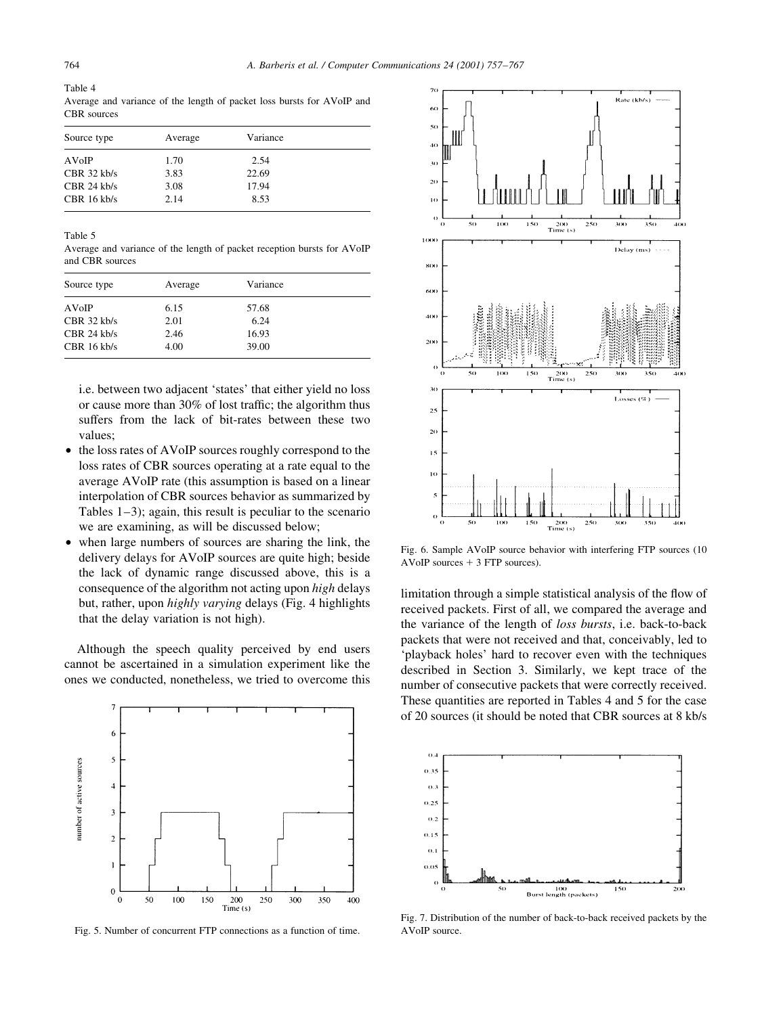Table 4 Average and variance of the length of packet loss bursts for AVoIP and CBR sources

| Source type   | Average | Variance |
|---------------|---------|----------|
| AVoIP         | 1.70    | 2.54     |
| $CBR$ 32 kb/s | 3.83    | 22.69    |
| $CBR$ 24 kb/s | 3.08    | 17.94    |
| $CBR$ 16 kb/s | 2.14    | 8.53     |

Table 5

Average and variance of the length of packet reception bursts for AVoIP and CBR sources

| Source type   | Average | Variance |  |
|---------------|---------|----------|--|
| AVoIP         | 6.15    | 57.68    |  |
| $CRR$ 32 kb/s | 2.01    | 6.24     |  |
| $CBR$ 24 kb/s | 2.46    | 16.93    |  |
| $CBR$ 16 kb/s | 4.00    | 39.00    |  |

i.e. between two adjacent 'states' that either yield no loss or cause more than 30% of lost traffic; the algorithm thus suffers from the lack of bit-rates between these two values:

- the loss rates of AVoIP sources roughly correspond to the  $\bullet$ loss rates of CBR sources operating at a rate equal to the average AVoIP rate (this assumption is based on a linear interpolation of CBR sources behavior as summarized by Tables  $1-3$ ); again, this result is peculiar to the scenario we are examining, as will be discussed below;
- when large numbers of sources are sharing the link, the  $\bullet$ delivery delays for AVoIP sources are quite high; beside the lack of dynamic range discussed above, this is a consequence of the algorithm not acting upon *high* delays but, rather, upon highly varying delays (Fig. 4 highlights that the delay variation is not high).

Although the speech quality perceived by end users cannot be ascertained in a simulation experiment like the ones we conducted, nonetheless, we tried to overcome this



Fig. 5. Number of concurrent FTP connections as a function of time.



Fig. 6. Sample AVoIP source behavior with interfering FTP sources (10 AVoIP sources  $+3$  FTP sources).

limitation through a simple statistical analysis of the flow of received packets. First of all, we compared the average and the variance of the length of loss bursts, i.e. back-to-back packets that were not received and that, conceivably, led to 'playback holes' hard to recover even with the techniques described in Section 3. Similarly, we kept trace of the number of consecutive packets that were correctly received. These quantities are reported in Tables 4 and 5 for the case of 20 sources (it should be noted that CBR sources at 8 kb/s)



Fig. 7. Distribution of the number of back-to-back received packets by the AVoIP source.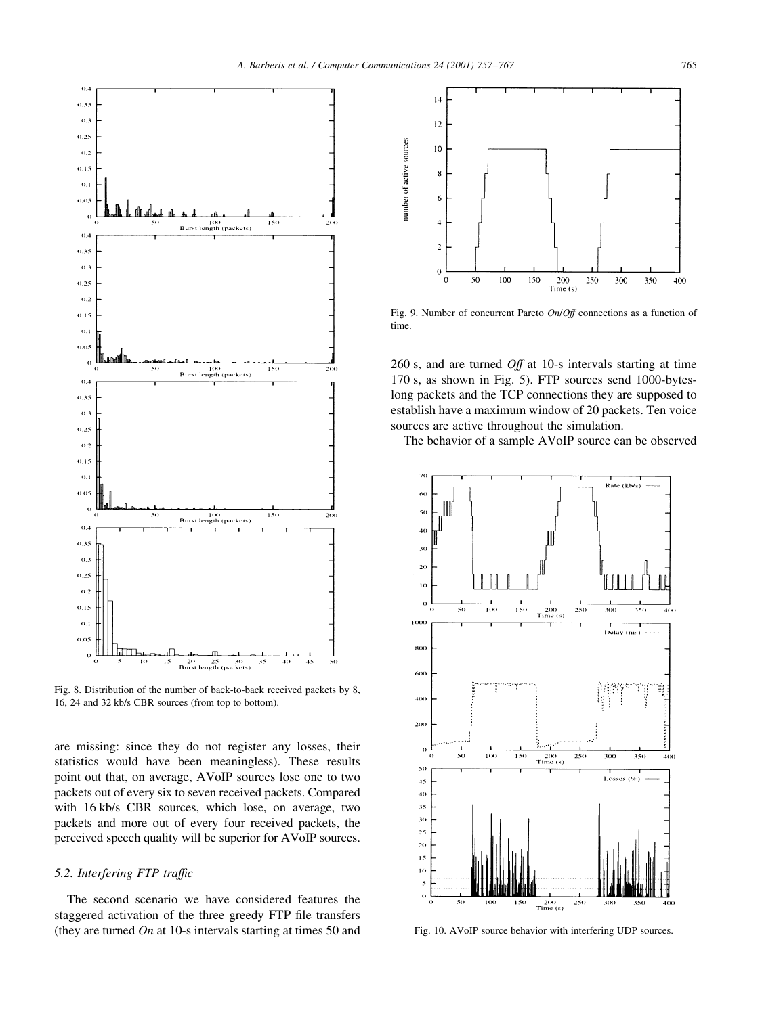

Fig. 8. Distribution of the number of back-to-back received packets by 8, 16, 24 and 32 kb/s CBR sources (from top to bottom).

are missing: since they do not register any losses, their statistics would have been meaningless). These results point out that, on average, AVoIP sources lose one to two packets out of every six to seven received packets. Compared with 16 kb/s CBR sources, which lose, on average, two packets and more out of every four received packets, the perceived speech quality will be superior for AVoIP sources.

# 5.2. Interfering FTP traffic

The second scenario we have considered features the staggered activation of the three greedy FTP file transfers (they are turned  $On$  at 10-s intervals starting at times 50 and



Fig. 9. Number of concurrent Pareto On/Off connections as a function of time.

260 s, and are turned  $Off$  at 10-s intervals starting at time 170 s, as shown in Fig. 5). FTP sources send 1000-byteslong packets and the TCP connections they are supposed to establish have a maximum window of 20 packets. Ten voice sources are active throughout the simulation.

The behavior of a sample AVoIP source can be observed



Fig. 10. AVoIP source behavior with interfering UDP sources.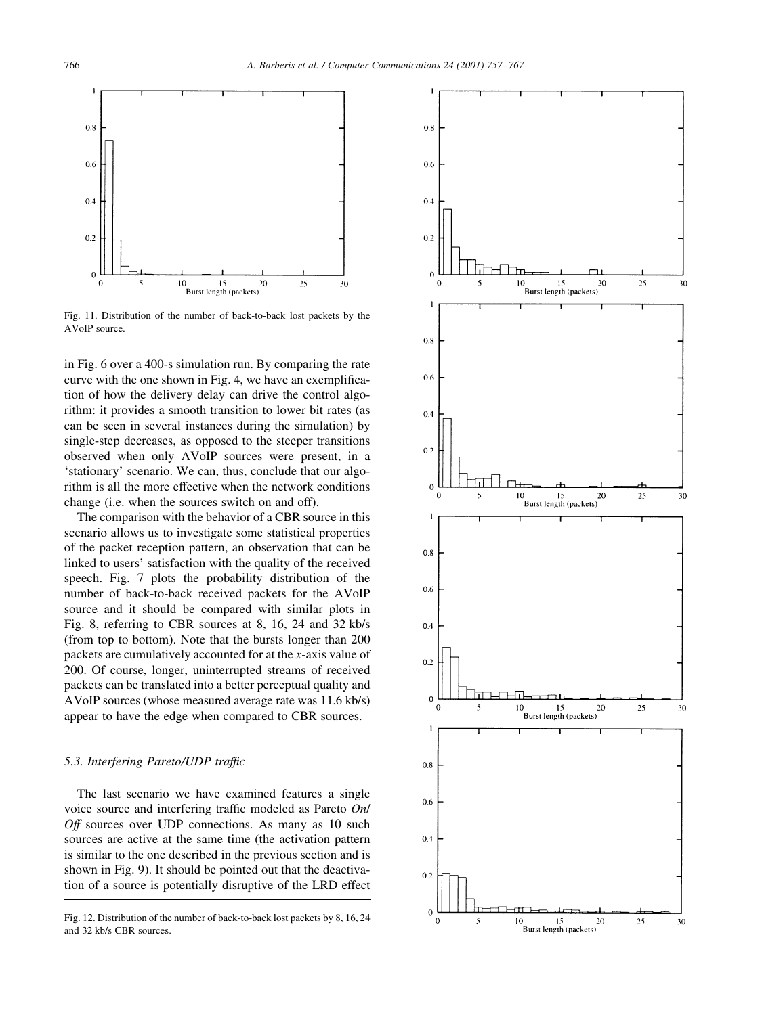

Fig. 11. Distribution of the number of back-to-back lost packets by the  $AVoIP$  source

in Fig. 6 over a 400-s simulation run. By comparing the rate curve with the one shown in Fig. 4, we have an exemplification of how the delivery delay can drive the control algorithm: it provides a smooth transition to lower bit rates (as can be seen in several instances during the simulation) by single-step decreases, as opposed to the steeper transitions observed when only AVoIP sources were present, in a 'stationary' scenario. We can, thus, conclude that our algorithm is all the more effective when the network conditions change (i.e. when the sources switch on and off).

The comparison with the behavior of a CBR source in this scenario allows us to investigate some statistical properties of the packet reception pattern, an observation that can be linked to users' satisfaction with the quality of the received speech. Fig. 7 plots the probability distribution of the number of back-to-back received packets for the AVoIP source and it should be compared with similar plots in Fig. 8, referring to CBR sources at 8, 16, 24 and 32 kb/s (from top to bottom). Note that the bursts longer than 200 packets are cumulatively accounted for at the x-axis value of 200. Of course, longer, uninterrupted streams of received packets can be translated into a better perceptual quality and AVoIP sources (whose measured average rate was 11.6 kb/s) appear to have the edge when compared to CBR sources.

# 5.3. Interfering Pareto/UDP traffic

The last scenario we have examined features a single voice source and interfering traffic modeled as Pareto On/ Off sources over UDP connections. As many as 10 such sources are active at the same time (the activation pattern is similar to the one described in the previous section and is shown in Fig. 9). It should be pointed out that the deactivation of a source is potentially disruptive of the LRD effect

Fig. 12. Distribution of the number of back-to-back lost packets by 8, 16, 24 and 32 kb/s CBR sources.